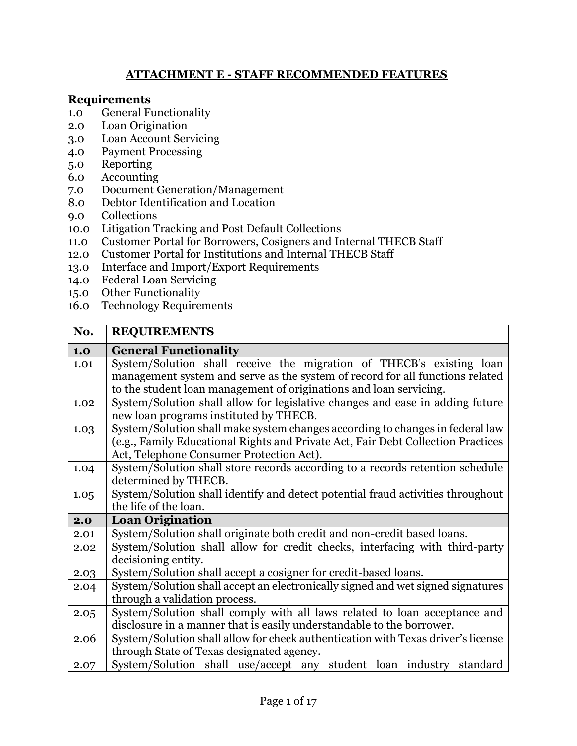## **ATTACHMENT E - STAFF RECOMMENDED FEATURES**

## **Requirements**

- 1.0 General Functionality
- 2.0 Loan Origination
- 3.0 Loan Account Servicing
- 4.0 Payment Processing
- 5.0 Reporting
- 6.0 Accounting
- 7.0 Document Generation/Management
- 8.0 Debtor Identification and Location
- 9.0 Collections
- 10.0 Litigation Tracking and Post Default Collections
- 11.0 Customer Portal for Borrowers, Cosigners and Internal THECB Staff
- 12.0 Customer Portal for Institutions and Internal THECB Staff
- 13.0 Interface and Import/Export Requirements
- 14.0 Federal Loan Servicing
- 15.0 Other Functionality
- 16.0 Technology Requirements

| No.  | <b>REQUIREMENTS</b>                                                              |
|------|----------------------------------------------------------------------------------|
| 1.0  | <b>General Functionality</b>                                                     |
| 1.01 | System/Solution shall receive the migration of THECB's existing loan             |
|      | management system and serve as the system of record for all functions related    |
|      | to the student loan management of originations and loan servicing.               |
| 1.02 | System/Solution shall allow for legislative changes and ease in adding future    |
|      | new loan programs instituted by THECB.                                           |
| 1.03 | System/Solution shall make system changes according to changes in federal law    |
|      | (e.g., Family Educational Rights and Private Act, Fair Debt Collection Practices |
|      | Act, Telephone Consumer Protection Act).                                         |
| 1.04 | System/Solution shall store records according to a records retention schedule    |
|      | determined by THECB.                                                             |
| 1.05 | System/Solution shall identify and detect potential fraud activities throughout  |
|      | the life of the loan.                                                            |
| 2.0  | <b>Loan Origination</b>                                                          |
| 2.01 | System/Solution shall originate both credit and non-credit based loans.          |
| 2.02 | System/Solution shall allow for credit checks, interfacing with third-party      |
|      | decisioning entity.                                                              |
| 2.03 | System/Solution shall accept a cosigner for credit-based loans.                  |
| 2.04 | System/Solution shall accept an electronically signed and wet signed signatures  |
|      | through a validation process.                                                    |
| 2.05 | System/Solution shall comply with all laws related to loan acceptance and        |
|      | disclosure in a manner that is easily understandable to the borrower.            |
| 2.06 | System/Solution shall allow for check authentication with Texas driver's license |
|      | through State of Texas designated agency.                                        |
| 2.07 | System/Solution shall use/accept any student loan industry standard              |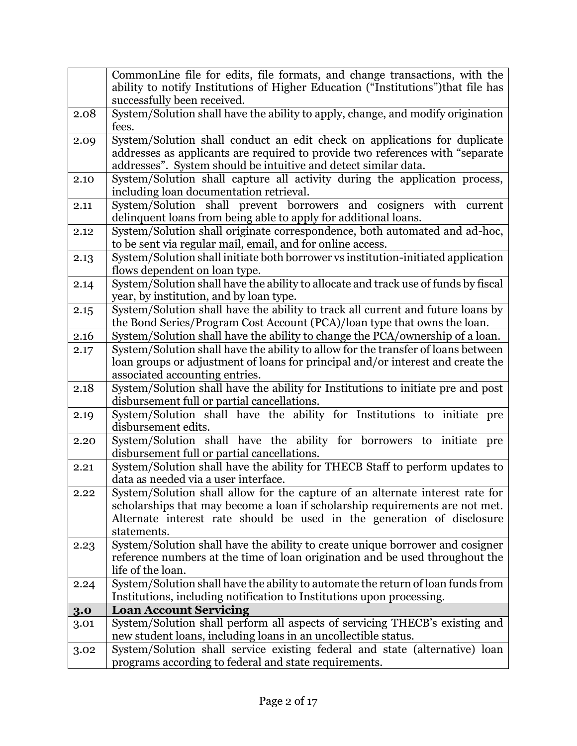|      | CommonLine file for edits, file formats, and change transactions, with the<br>ability to notify Institutions of Higher Education ("Institutions") that file has |
|------|-----------------------------------------------------------------------------------------------------------------------------------------------------------------|
|      | successfully been received.                                                                                                                                     |
| 2.08 | System/Solution shall have the ability to apply, change, and modify origination                                                                                 |
|      | fees.                                                                                                                                                           |
| 2.09 | System/Solution shall conduct an edit check on applications for duplicate                                                                                       |
|      | addresses as applicants are required to provide two references with "separate"                                                                                  |
|      | addresses". System should be intuitive and detect similar data.                                                                                                 |
| 2.10 | System/Solution shall capture all activity during the application process,                                                                                      |
|      | including loan documentation retrieval.                                                                                                                         |
| 2.11 | System/Solution shall prevent borrowers and cosigners with current                                                                                              |
|      | delinquent loans from being able to apply for additional loans.                                                                                                 |
| 2.12 | System/Solution shall originate correspondence, both automated and ad-hoc,                                                                                      |
|      | to be sent via regular mail, email, and for online access.                                                                                                      |
| 2.13 | System/Solution shall initiate both borrower vs institution-initiated application                                                                               |
|      | flows dependent on loan type.                                                                                                                                   |
| 2.14 | System/Solution shall have the ability to allocate and track use of funds by fiscal                                                                             |
|      | year, by institution, and by loan type.                                                                                                                         |
| 2.15 | System/Solution shall have the ability to track all current and future loans by                                                                                 |
|      | the Bond Series/Program Cost Account (PCA)/loan type that owns the loan.                                                                                        |
| 2.16 | System/Solution shall have the ability to change the PCA/ownership of a loan.                                                                                   |
| 2.17 | System/Solution shall have the ability to allow for the transfer of loans between                                                                               |
|      | loan groups or adjustment of loans for principal and/or interest and create the                                                                                 |
|      | associated accounting entries.                                                                                                                                  |
| 2.18 | System/Solution shall have the ability for Institutions to initiate pre and post                                                                                |
|      | disbursement full or partial cancellations.                                                                                                                     |
| 2.19 | System/Solution shall have the ability for Institutions to initiate pre                                                                                         |
|      | disbursement edits.<br>System/Solution shall have the ability for borrowers to initiate pre                                                                     |
| 2.20 | disbursement full or partial cancellations.                                                                                                                     |
| 2.21 | System/Solution shall have the ability for THECB Staff to perform updates to                                                                                    |
|      | data as needed via a user interface.                                                                                                                            |
| 2.22 | System/Solution shall allow for the capture of an alternate interest rate for                                                                                   |
|      | scholarships that may become a loan if scholarship requirements are not met.                                                                                    |
|      | Alternate interest rate should be used in the generation of disclosure                                                                                          |
|      | statements.                                                                                                                                                     |
| 2.23 | System/Solution shall have the ability to create unique borrower and cosigner                                                                                   |
|      | reference numbers at the time of loan origination and be used throughout the                                                                                    |
|      | life of the loan.                                                                                                                                               |
| 2.24 | System/Solution shall have the ability to automate the return of loan funds from                                                                                |
|      | Institutions, including notification to Institutions upon processing.                                                                                           |
| 3.0  | <b>Loan Account Servicing</b>                                                                                                                                   |
| 3.01 | System/Solution shall perform all aspects of servicing THECB's existing and                                                                                     |
|      | new student loans, including loans in an uncollectible status.                                                                                                  |
| 3.02 | System/Solution shall service existing federal and state (alternative) loan                                                                                     |
|      | programs according to federal and state requirements.                                                                                                           |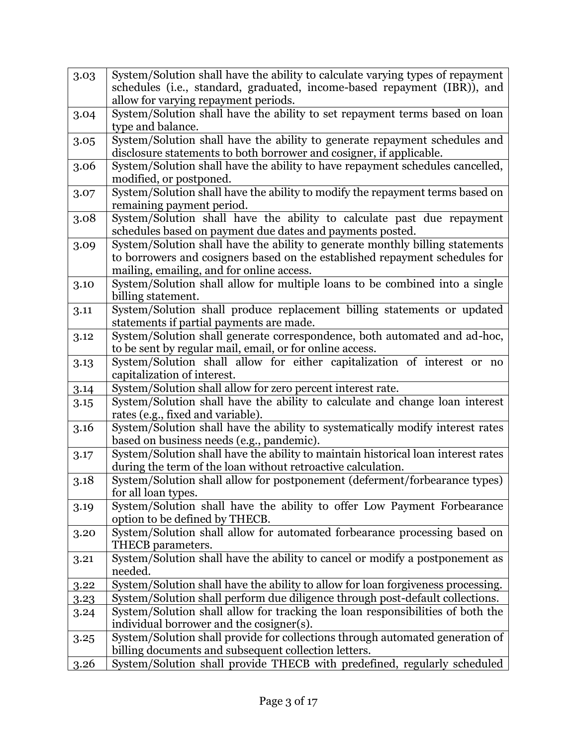| 3.03                                 | System/Solution shall have the ability to calculate varying types of repayment                                                                                                                                                                                                                                                                                                                                                                                                                                       |
|--------------------------------------|----------------------------------------------------------------------------------------------------------------------------------------------------------------------------------------------------------------------------------------------------------------------------------------------------------------------------------------------------------------------------------------------------------------------------------------------------------------------------------------------------------------------|
|                                      | schedules (i.e., standard, graduated, income-based repayment (IBR)), and                                                                                                                                                                                                                                                                                                                                                                                                                                             |
|                                      | allow for varying repayment periods.                                                                                                                                                                                                                                                                                                                                                                                                                                                                                 |
| 3.04                                 | System/Solution shall have the ability to set repayment terms based on loan                                                                                                                                                                                                                                                                                                                                                                                                                                          |
|                                      | type and balance.                                                                                                                                                                                                                                                                                                                                                                                                                                                                                                    |
| 3.05                                 | System/Solution shall have the ability to generate repayment schedules and                                                                                                                                                                                                                                                                                                                                                                                                                                           |
|                                      | disclosure statements to both borrower and cosigner, if applicable.                                                                                                                                                                                                                                                                                                                                                                                                                                                  |
| 3.06                                 | System/Solution shall have the ability to have repayment schedules cancelled,                                                                                                                                                                                                                                                                                                                                                                                                                                        |
| 3.07                                 | modified, or postponed.<br>System/Solution shall have the ability to modify the repayment terms based on                                                                                                                                                                                                                                                                                                                                                                                                             |
|                                      | remaining payment period.                                                                                                                                                                                                                                                                                                                                                                                                                                                                                            |
| 3.08                                 | System/Solution shall have the ability to calculate past due repayment                                                                                                                                                                                                                                                                                                                                                                                                                                               |
|                                      | schedules based on payment due dates and payments posted.                                                                                                                                                                                                                                                                                                                                                                                                                                                            |
| 3.09                                 | System/Solution shall have the ability to generate monthly billing statements                                                                                                                                                                                                                                                                                                                                                                                                                                        |
|                                      | to borrowers and cosigners based on the established repayment schedules for                                                                                                                                                                                                                                                                                                                                                                                                                                          |
|                                      | mailing, emailing, and for online access.                                                                                                                                                                                                                                                                                                                                                                                                                                                                            |
| 3.10                                 | System/Solution shall allow for multiple loans to be combined into a single                                                                                                                                                                                                                                                                                                                                                                                                                                          |
|                                      | billing statement.                                                                                                                                                                                                                                                                                                                                                                                                                                                                                                   |
| 3.11                                 | System/Solution shall produce replacement billing statements or updated                                                                                                                                                                                                                                                                                                                                                                                                                                              |
|                                      | statements if partial payments are made.                                                                                                                                                                                                                                                                                                                                                                                                                                                                             |
| 3.12                                 | System/Solution shall generate correspondence, both automated and ad-hoc,                                                                                                                                                                                                                                                                                                                                                                                                                                            |
|                                      | to be sent by regular mail, email, or for online access.                                                                                                                                                                                                                                                                                                                                                                                                                                                             |
| 3.13                                 | System/Solution shall allow for either capitalization of interest or no                                                                                                                                                                                                                                                                                                                                                                                                                                              |
|                                      | capitalization of interest.<br>System/Solution shall allow for zero percent interest rate.                                                                                                                                                                                                                                                                                                                                                                                                                           |
| 3.14                                 | System/Solution shall have the ability to calculate and change loan interest                                                                                                                                                                                                                                                                                                                                                                                                                                         |
| 3.15                                 | rates (e.g., fixed and variable).                                                                                                                                                                                                                                                                                                                                                                                                                                                                                    |
| 3.16                                 | System/Solution shall have the ability to systematically modify interest rates                                                                                                                                                                                                                                                                                                                                                                                                                                       |
|                                      | based on business needs (e.g., pandemic).                                                                                                                                                                                                                                                                                                                                                                                                                                                                            |
| 3.17                                 | System/Solution shall have the ability to maintain historical loan interest rates                                                                                                                                                                                                                                                                                                                                                                                                                                    |
|                                      | during the term of the loan without retroactive calculation.                                                                                                                                                                                                                                                                                                                                                                                                                                                         |
| 3.18                                 | System/Solution shall allow for postponement (deferment/forbearance types)                                                                                                                                                                                                                                                                                                                                                                                                                                           |
|                                      | for all loan types.                                                                                                                                                                                                                                                                                                                                                                                                                                                                                                  |
| 3.19                                 | System/Solution shall have the ability to offer Low Payment Forbearance                                                                                                                                                                                                                                                                                                                                                                                                                                              |
|                                      | option to be defined by THECB.                                                                                                                                                                                                                                                                                                                                                                                                                                                                                       |
| 3.20                                 | System/Solution shall allow for automated forbearance processing based on                                                                                                                                                                                                                                                                                                                                                                                                                                            |
|                                      | THECB parameters.                                                                                                                                                                                                                                                                                                                                                                                                                                                                                                    |
| 3.21                                 | System/Solution shall have the ability to cancel or modify a postponement as                                                                                                                                                                                                                                                                                                                                                                                                                                         |
|                                      | needed.                                                                                                                                                                                                                                                                                                                                                                                                                                                                                                              |
|                                      |                                                                                                                                                                                                                                                                                                                                                                                                                                                                                                                      |
|                                      |                                                                                                                                                                                                                                                                                                                                                                                                                                                                                                                      |
|                                      |                                                                                                                                                                                                                                                                                                                                                                                                                                                                                                                      |
|                                      |                                                                                                                                                                                                                                                                                                                                                                                                                                                                                                                      |
|                                      |                                                                                                                                                                                                                                                                                                                                                                                                                                                                                                                      |
|                                      |                                                                                                                                                                                                                                                                                                                                                                                                                                                                                                                      |
| 3.22<br>3.23<br>3.24<br>3.25<br>3.26 | System/Solution shall have the ability to allow for loan forgiveness processing.<br>System/Solution shall perform due diligence through post-default collections.<br>System/Solution shall allow for tracking the loan responsibilities of both the<br>individual borrower and the cosigner(s).<br>System/Solution shall provide for collections through automated generation of<br>billing documents and subsequent collection letters.<br>System/Solution shall provide THECB with predefined, regularly scheduled |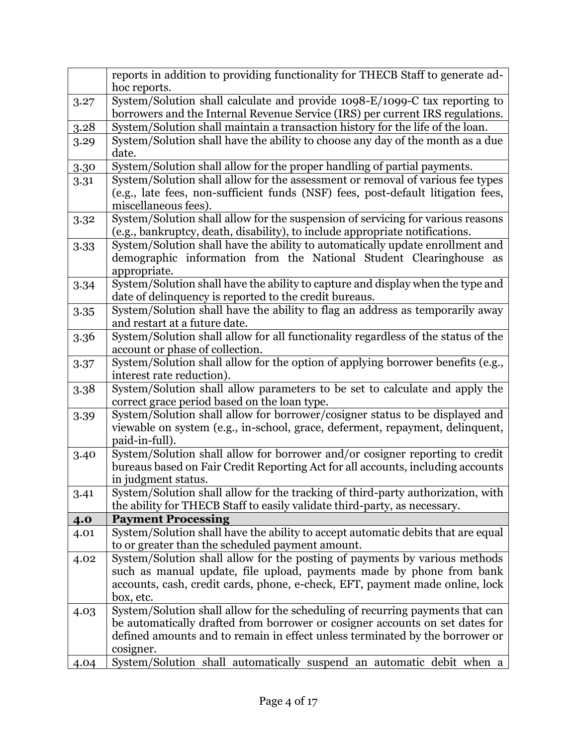|      | reports in addition to providing functionality for THECB Staff to generate ad-<br>hoc reports.                                                                                             |
|------|--------------------------------------------------------------------------------------------------------------------------------------------------------------------------------------------|
| 3.27 | System/Solution shall calculate and provide 1098-E/1099-C tax reporting to                                                                                                                 |
|      | borrowers and the Internal Revenue Service (IRS) per current IRS regulations.                                                                                                              |
| 3.28 | System/Solution shall maintain a transaction history for the life of the loan.                                                                                                             |
|      | System/Solution shall have the ability to choose any day of the month as a due                                                                                                             |
| 3.29 | date.                                                                                                                                                                                      |
|      |                                                                                                                                                                                            |
| 3.30 | System/Solution shall allow for the proper handling of partial payments.                                                                                                                   |
| 3.31 | System/Solution shall allow for the assessment or removal of various fee types<br>(e.g., late fees, non-sufficient funds (NSF) fees, post-default litigation fees,<br>miscellaneous fees). |
| 3.32 | System/Solution shall allow for the suspension of servicing for various reasons                                                                                                            |
|      | (e.g., bankruptcy, death, disability), to include appropriate notifications.                                                                                                               |
| 3.33 | System/Solution shall have the ability to automatically update enrollment and                                                                                                              |
|      | demographic information from the National Student Clearinghouse as                                                                                                                         |
|      | appropriate.                                                                                                                                                                               |
| 3.34 | System/Solution shall have the ability to capture and display when the type and                                                                                                            |
|      | date of delinquency is reported to the credit bureaus.                                                                                                                                     |
| 3.35 | System/Solution shall have the ability to flag an address as temporarily away                                                                                                              |
|      | and restart at a future date.                                                                                                                                                              |
| 3.36 | System/Solution shall allow for all functionality regardless of the status of the                                                                                                          |
|      | account or phase of collection.                                                                                                                                                            |
| 3.37 | System/Solution shall allow for the option of applying borrower benefits (e.g.,                                                                                                            |
|      | interest rate reduction).                                                                                                                                                                  |
| 3.38 | System/Solution shall allow parameters to be set to calculate and apply the                                                                                                                |
|      | correct grace period based on the loan type.                                                                                                                                               |
| 3.39 | System/Solution shall allow for borrower/cosigner status to be displayed and                                                                                                               |
|      | viewable on system (e.g., in-school, grace, deferment, repayment, delinquent,                                                                                                              |
|      | paid-in-full).                                                                                                                                                                             |
| 3.40 | System/Solution shall allow for borrower and/or cosigner reporting to credit                                                                                                               |
|      | bureaus based on Fair Credit Reporting Act for all accounts, including accounts                                                                                                            |
|      | in judgment status.                                                                                                                                                                        |
| 3.41 | System/Solution shall allow for the tracking of third-party authorization, with                                                                                                            |
|      | the ability for THECB Staff to easily validate third-party, as necessary.                                                                                                                  |
| 4.0  | <b>Payment Processing</b>                                                                                                                                                                  |
| 4.01 | System/Solution shall have the ability to accept automatic debits that are equal                                                                                                           |
|      | to or greater than the scheduled payment amount.                                                                                                                                           |
| 4.02 | System/Solution shall allow for the posting of payments by various methods                                                                                                                 |
|      | such as manual update, file upload, payments made by phone from bank                                                                                                                       |
|      | accounts, cash, credit cards, phone, e-check, EFT, payment made online, lock                                                                                                               |
|      | box, etc.                                                                                                                                                                                  |
| 4.03 | System/Solution shall allow for the scheduling of recurring payments that can                                                                                                              |
|      | be automatically drafted from borrower or cosigner accounts on set dates for                                                                                                               |
|      | defined amounts and to remain in effect unless terminated by the borrower or                                                                                                               |
|      | cosigner.                                                                                                                                                                                  |
| 4.04 | System/Solution shall automatically suspend an automatic debit when a                                                                                                                      |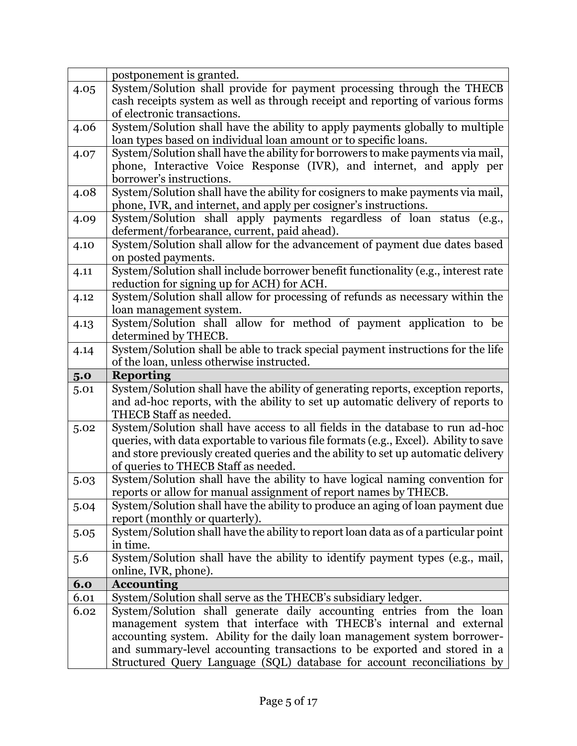|      | postponement is granted.                                                                                                                              |
|------|-------------------------------------------------------------------------------------------------------------------------------------------------------|
| 4.05 | System/Solution shall provide for payment processing through the THECB                                                                                |
|      | cash receipts system as well as through receipt and reporting of various forms                                                                        |
|      | of electronic transactions.                                                                                                                           |
| 4.06 | System/Solution shall have the ability to apply payments globally to multiple                                                                         |
|      | loan types based on individual loan amount or to specific loans.                                                                                      |
| 4.07 | System/Solution shall have the ability for borrowers to make payments via mail,                                                                       |
|      | phone, Interactive Voice Response (IVR), and internet, and apply per                                                                                  |
|      | borrower's instructions.                                                                                                                              |
| 4.08 | System/Solution shall have the ability for cosigners to make payments via mail,                                                                       |
|      | phone, IVR, and internet, and apply per cosigner's instructions.                                                                                      |
| 4.09 | System/Solution shall apply payments regardless of loan status (e.g.,                                                                                 |
|      | deferment/forbearance, current, paid ahead).                                                                                                          |
| 4.10 | System/Solution shall allow for the advancement of payment due dates based                                                                            |
|      | on posted payments.                                                                                                                                   |
| 4.11 | System/Solution shall include borrower benefit functionality (e.g., interest rate                                                                     |
|      | reduction for signing up for ACH) for ACH.                                                                                                            |
| 4.12 | System/Solution shall allow for processing of refunds as necessary within the                                                                         |
|      | loan management system.                                                                                                                               |
| 4.13 | System/Solution shall allow for method of payment application to be                                                                                   |
|      | determined by THECB.                                                                                                                                  |
| 4.14 | System/Solution shall be able to track special payment instructions for the life                                                                      |
|      | of the loan, unless otherwise instructed.                                                                                                             |
|      |                                                                                                                                                       |
| 5.0  | <b>Reporting</b>                                                                                                                                      |
| 5.01 | System/Solution shall have the ability of generating reports, exception reports,                                                                      |
|      | and ad-hoc reports, with the ability to set up automatic delivery of reports to                                                                       |
|      | THECB Staff as needed.                                                                                                                                |
| 5.02 | System/Solution shall have access to all fields in the database to run ad-hoc                                                                         |
|      | queries, with data exportable to various file formats (e.g., Excel). Ability to save                                                                  |
|      | and store previously created queries and the ability to set up automatic delivery                                                                     |
|      | of queries to THECB Staff as needed.                                                                                                                  |
| 5.03 | System/Solution shall have the ability to have logical naming convention for                                                                          |
|      | reports or allow for manual assignment of report names by THECB.                                                                                      |
| 5.04 | System/Solution shall have the ability to produce an aging of loan payment due                                                                        |
|      | report (monthly or quarterly).                                                                                                                        |
| 5.05 | System/Solution shall have the ability to report loan data as of a particular point                                                                   |
|      | in time.                                                                                                                                              |
| 5.6  | System/Solution shall have the ability to identify payment types (e.g., mail,                                                                         |
|      | online, IVR, phone).                                                                                                                                  |
| 6.0  | <b>Accounting</b>                                                                                                                                     |
| 6.01 | System/Solution shall serve as the THECB's subsidiary ledger.                                                                                         |
| 6.02 | System/Solution shall generate daily accounting entries from the loan                                                                                 |
|      | management system that interface with THECB's internal and external                                                                                   |
|      | accounting system. Ability for the daily loan management system borrower-<br>and summary-level accounting transactions to be exported and stored in a |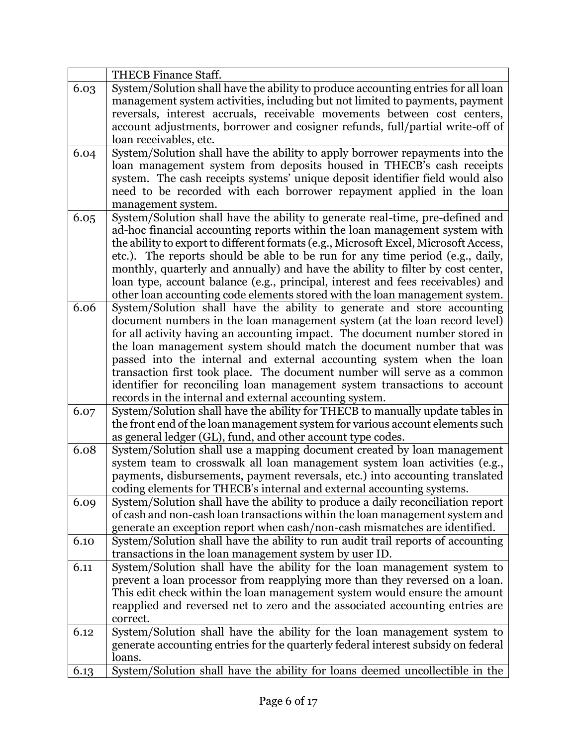|      | <b>THECB</b> Finance Staff.                                                                                                                              |
|------|----------------------------------------------------------------------------------------------------------------------------------------------------------|
| 6.03 | System/Solution shall have the ability to produce accounting entries for all loan                                                                        |
|      | management system activities, including but not limited to payments, payment                                                                             |
|      | reversals, interest accruals, receivable movements between cost centers,                                                                                 |
|      | account adjustments, borrower and cosigner refunds, full/partial write-off of                                                                            |
|      | loan receivables, etc.                                                                                                                                   |
| 6.04 | System/Solution shall have the ability to apply borrower repayments into the                                                                             |
|      | loan management system from deposits housed in THECB's cash receipts                                                                                     |
|      | system. The cash receipts systems' unique deposit identifier field would also                                                                            |
|      | need to be recorded with each borrower repayment applied in the loan                                                                                     |
|      | management system.                                                                                                                                       |
| 6.05 | System/Solution shall have the ability to generate real-time, pre-defined and                                                                            |
|      | ad-hoc financial accounting reports within the loan management system with                                                                               |
|      | the ability to export to different formats (e.g., Microsoft Excel, Microsoft Access,                                                                     |
|      | etc.). The reports should be able to be run for any time period (e.g., daily,                                                                            |
|      | monthly, quarterly and annually) and have the ability to filter by cost center,                                                                          |
|      | loan type, account balance (e.g., principal, interest and fees receivables) and                                                                          |
|      | other loan accounting code elements stored with the loan management system.                                                                              |
| 6.06 | System/Solution shall have the ability to generate and store accounting                                                                                  |
|      | document numbers in the loan management system (at the loan record level)                                                                                |
|      | for all activity having an accounting impact. The document number stored in                                                                              |
|      | the loan management system should match the document number that was                                                                                     |
|      | passed into the internal and external accounting system when the loan                                                                                    |
|      | transaction first took place. The document number will serve as a common                                                                                 |
|      | identifier for reconciling loan management system transactions to account                                                                                |
|      | records in the internal and external accounting system.                                                                                                  |
| 6.07 | System/Solution shall have the ability for THECB to manually update tables in                                                                            |
|      | the front end of the loan management system for various account elements such                                                                            |
|      | as general ledger (GL), fund, and other account type codes.                                                                                              |
| 6.08 | System/Solution shall use a mapping document created by loan management                                                                                  |
|      | system team to crosswalk all loan management system loan activities (e.g.,                                                                               |
|      | payments, disbursements, payment reversals, etc.) into accounting translated                                                                             |
|      | coding elements for THECB's internal and external accounting systems.                                                                                    |
| 6.09 | System/Solution shall have the ability to produce a daily reconciliation report                                                                          |
|      | of cash and non-cash loan transactions within the loan management system and                                                                             |
|      | generate an exception report when cash/non-cash mismatches are identified.                                                                               |
| 6.10 | System/Solution shall have the ability to run audit trail reports of accounting                                                                          |
|      | transactions in the loan management system by user ID.                                                                                                   |
| 6.11 | System/Solution shall have the ability for the loan management system to                                                                                 |
|      | prevent a loan processor from reapplying more than they reversed on a loan.<br>This edit check within the loan management system would ensure the amount |
|      | reapplied and reversed net to zero and the associated accounting entries are                                                                             |
|      | correct.                                                                                                                                                 |
| 6.12 |                                                                                                                                                          |
|      | System/Solution shall have the ability for the loan management system to                                                                                 |
|      | generate accounting entries for the quarterly federal interest subsidy on federal<br>loans.                                                              |
|      |                                                                                                                                                          |
| 6.13 | System/Solution shall have the ability for loans deemed uncollectible in the                                                                             |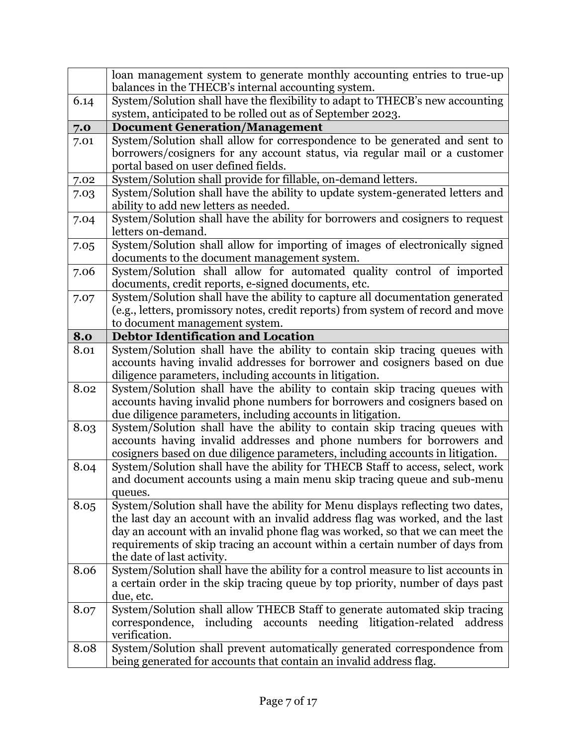|      | loan management system to generate monthly accounting entries to true-up<br>balances in the THECB's internal accounting system.                                                                                    |
|------|--------------------------------------------------------------------------------------------------------------------------------------------------------------------------------------------------------------------|
| 6.14 | System/Solution shall have the flexibility to adapt to THECB's new accounting<br>system, anticipated to be rolled out as of September 2023.                                                                        |
| 7.0  | <b>Document Generation/Management</b>                                                                                                                                                                              |
| 7.01 | System/Solution shall allow for correspondence to be generated and sent to                                                                                                                                         |
|      | borrowers/cosigners for any account status, via regular mail or a customer                                                                                                                                         |
|      | portal based on user defined fields.                                                                                                                                                                               |
| 7.02 | System/Solution shall provide for fillable, on-demand letters.                                                                                                                                                     |
| 7.03 | System/Solution shall have the ability to update system-generated letters and<br>ability to add new letters as needed.                                                                                             |
| 7.04 | System/Solution shall have the ability for borrowers and cosigners to request<br>letters on-demand.                                                                                                                |
| 7.05 | System/Solution shall allow for importing of images of electronically signed<br>documents to the document management system.                                                                                       |
| 7.06 | System/Solution shall allow for automated quality control of imported<br>documents, credit reports, e-signed documents, etc.                                                                                       |
| 7.07 | System/Solution shall have the ability to capture all documentation generated                                                                                                                                      |
|      | (e.g., letters, promissory notes, credit reports) from system of record and move                                                                                                                                   |
|      | to document management system.                                                                                                                                                                                     |
| 8.0  | <b>Debtor Identification and Location</b>                                                                                                                                                                          |
| 8.01 | System/Solution shall have the ability to contain skip tracing queues with<br>accounts having invalid addresses for borrower and cosigners based on due<br>diligence parameters, including accounts in litigation. |
| 8.02 | System/Solution shall have the ability to contain skip tracing queues with                                                                                                                                         |
|      | accounts having invalid phone numbers for borrowers and cosigners based on<br>due diligence parameters, including accounts in litigation.                                                                          |
| 8.03 | System/Solution shall have the ability to contain skip tracing queues with<br>accounts having invalid addresses and phone numbers for borrowers and                                                                |
|      | cosigners based on due diligence parameters, including accounts in litigation.                                                                                                                                     |
| 8.04 | System/Solution shall have the ability for THECB Staff to access, select, work<br>and document accounts using a main menu skip tracing queue and sub-menu                                                          |
|      | queues.                                                                                                                                                                                                            |
| 8.05 | System/Solution shall have the ability for Menu displays reflecting two dates,                                                                                                                                     |
|      | the last day an account with an invalid address flag was worked, and the last                                                                                                                                      |
|      | day an account with an invalid phone flag was worked, so that we can meet the                                                                                                                                      |
|      | requirements of skip tracing an account within a certain number of days from                                                                                                                                       |
|      | the date of last activity.                                                                                                                                                                                         |
| 8.06 | System/Solution shall have the ability for a control measure to list accounts in                                                                                                                                   |
|      | a certain order in the skip tracing queue by top priority, number of days past<br>due, etc.                                                                                                                        |
| 8.07 | System/Solution shall allow THECB Staff to generate automated skip tracing<br>correspondence, including accounts needing litigation-related address<br>verification.                                               |
| 8.08 | System/Solution shall prevent automatically generated correspondence from                                                                                                                                          |
|      | being generated for accounts that contain an invalid address flag.                                                                                                                                                 |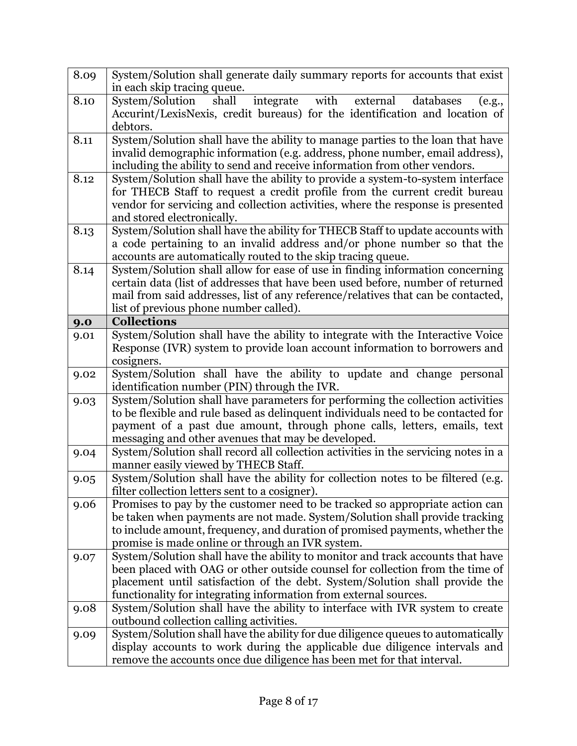| 8.09 | System/Solution shall generate daily summary reports for accounts that exist<br>in each skip tracing queue.                                                                                                                                                                                                        |
|------|--------------------------------------------------------------------------------------------------------------------------------------------------------------------------------------------------------------------------------------------------------------------------------------------------------------------|
| 8.10 | integrate with<br>external<br>System/Solution<br>shall<br>databases<br>(e.g.,<br>Accurint/LexisNexis, credit bureaus) for the identification and location of<br>debtors.                                                                                                                                           |
| 8.11 | System/Solution shall have the ability to manage parties to the loan that have<br>invalid demographic information (e.g. address, phone number, email address),<br>including the ability to send and receive information from other vendors.                                                                        |
| 8.12 | System/Solution shall have the ability to provide a system-to-system interface<br>for THECB Staff to request a credit profile from the current credit bureau<br>vendor for servicing and collection activities, where the response is presented<br>and stored electronically.                                      |
| 8.13 | System/Solution shall have the ability for THECB Staff to update accounts with<br>a code pertaining to an invalid address and/or phone number so that the<br>accounts are automatically routed to the skip tracing queue.                                                                                          |
| 8.14 | System/Solution shall allow for ease of use in finding information concerning<br>certain data (list of addresses that have been used before, number of returned<br>mail from said addresses, list of any reference/relatives that can be contacted,<br>list of previous phone number called).                      |
| 9.0  | <b>Collections</b>                                                                                                                                                                                                                                                                                                 |
| 9.01 | System/Solution shall have the ability to integrate with the Interactive Voice<br>Response (IVR) system to provide loan account information to borrowers and<br>cosigners.                                                                                                                                         |
| 9.02 | System/Solution shall have the ability to update and change personal<br>identification number (PIN) through the IVR.                                                                                                                                                                                               |
| 9.03 | System/Solution shall have parameters for performing the collection activities<br>to be flexible and rule based as delinquent individuals need to be contacted for<br>payment of a past due amount, through phone calls, letters, emails, text<br>messaging and other avenues that may be developed.               |
| 9.04 | System/Solution shall record all collection activities in the servicing notes in a<br>manner easily viewed by THECB Staff.                                                                                                                                                                                         |
| 9.05 | System/Solution shall have the ability for collection notes to be filtered (e.g.<br>filter collection letters sent to a cosigner).                                                                                                                                                                                 |
| 9.06 | Promises to pay by the customer need to be tracked so appropriate action can<br>be taken when payments are not made. System/Solution shall provide tracking<br>to include amount, frequency, and duration of promised payments, whether the<br>promise is made online or through an IVR system.                    |
| 9.07 | System/Solution shall have the ability to monitor and track accounts that have<br>been placed with OAG or other outside counsel for collection from the time of<br>placement until satisfaction of the debt. System/Solution shall provide the<br>functionality for integrating information from external sources. |
| 9.08 | System/Solution shall have the ability to interface with IVR system to create<br>outbound collection calling activities.                                                                                                                                                                                           |
|      | System/Solution shall have the ability for due diligence queues to automatically                                                                                                                                                                                                                                   |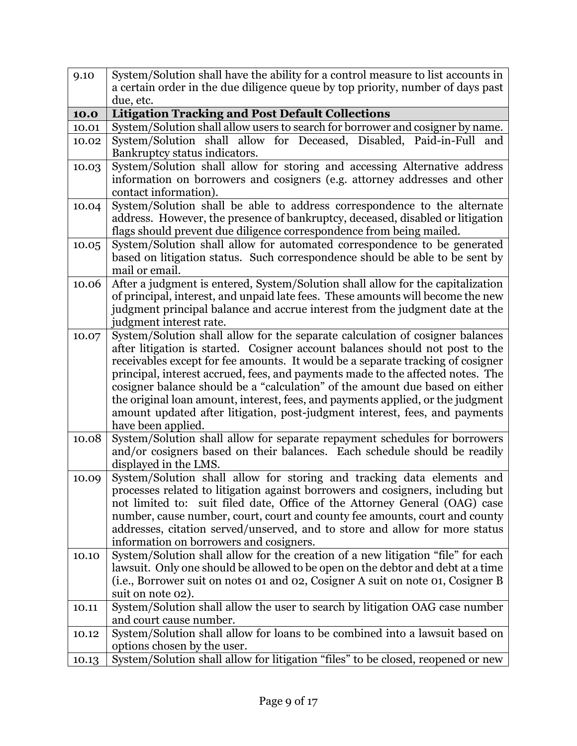| 9.10  | System/Solution shall have the ability for a control measure to list accounts in                                                                                 |
|-------|------------------------------------------------------------------------------------------------------------------------------------------------------------------|
|       | a certain order in the due diligence queue by top priority, number of days past                                                                                  |
|       | due, etc.                                                                                                                                                        |
| 10.0  | <b>Litigation Tracking and Post Default Collections</b>                                                                                                          |
| 10.01 | System/Solution shall allow users to search for borrower and cosigner by name.                                                                                   |
| 10.02 | System/Solution shall allow for Deceased, Disabled, Paid-in-Full<br>and                                                                                          |
|       | Bankruptcy status indicators.                                                                                                                                    |
| 10.03 | System/Solution shall allow for storing and accessing Alternative address                                                                                        |
|       | information on borrowers and cosigners (e.g. attorney addresses and other                                                                                        |
|       | contact information).                                                                                                                                            |
| 10.04 | System/Solution shall be able to address correspondence to the alternate                                                                                         |
|       | address. However, the presence of bankruptcy, deceased, disabled or litigation                                                                                   |
|       | flags should prevent due diligence correspondence from being mailed.                                                                                             |
| 10.05 | System/Solution shall allow for automated correspondence to be generated                                                                                         |
|       | based on litigation status. Such correspondence should be able to be sent by                                                                                     |
|       | mail or email.                                                                                                                                                   |
| 10.06 | After a judgment is entered, System/Solution shall allow for the capitalization                                                                                  |
|       | of principal, interest, and unpaid late fees. These amounts will become the new                                                                                  |
|       | judgment principal balance and accrue interest from the judgment date at the                                                                                     |
|       | judgment interest rate.                                                                                                                                          |
| 10.07 | System/Solution shall allow for the separate calculation of cosigner balances                                                                                    |
|       | after litigation is started. Cosigner account balances should not post to the<br>receivables except for fee amounts. It would be a separate tracking of cosigner |
|       | principal, interest accrued, fees, and payments made to the affected notes. The                                                                                  |
|       | cosigner balance should be a "calculation" of the amount due based on either                                                                                     |
|       | the original loan amount, interest, fees, and payments applied, or the judgment                                                                                  |
|       | amount updated after litigation, post-judgment interest, fees, and payments                                                                                      |
|       | have been applied.                                                                                                                                               |
| 10.08 | System/Solution shall allow for separate repayment schedules for borrowers                                                                                       |
|       | and/or cosigners based on their balances. Each schedule should be readily                                                                                        |
|       | displayed in the LMS.                                                                                                                                            |
| 10.09 | System/Solution shall allow for storing and tracking data elements and                                                                                           |
|       | processes related to litigation against borrowers and cosigners, including but                                                                                   |
|       | not limited to: suit filed date, Office of the Attorney General (OAG) case                                                                                       |
|       | number, cause number, court, court and county fee amounts, court and county                                                                                      |
|       | addresses, citation served/unserved, and to store and allow for more status                                                                                      |
|       | information on borrowers and cosigners.                                                                                                                          |
| 10.10 | System/Solution shall allow for the creation of a new litigation "file" for each                                                                                 |
|       | lawsuit. Only one should be allowed to be open on the debtor and debt at a time                                                                                  |
|       | (i.e., Borrower suit on notes 01 and 02, Cosigner A suit on note 01, Cosigner B                                                                                  |
|       | suit on note 02).                                                                                                                                                |
| 10.11 | System/Solution shall allow the user to search by litigation OAG case number                                                                                     |
|       | and court cause number.                                                                                                                                          |
| 10.12 | System/Solution shall allow for loans to be combined into a lawsuit based on                                                                                     |
|       | options chosen by the user.                                                                                                                                      |
| 10.13 | System/Solution shall allow for litigation "files" to be closed, reopened or new                                                                                 |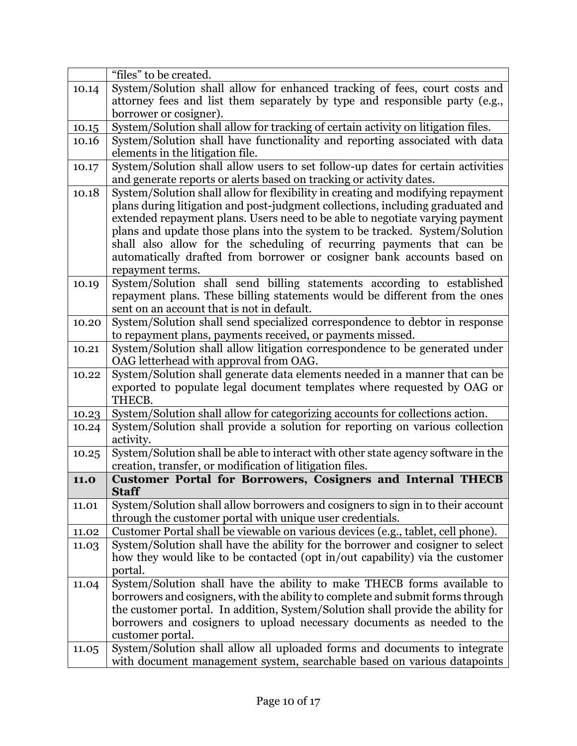|       | "files" to be created.                                                                                                                               |
|-------|------------------------------------------------------------------------------------------------------------------------------------------------------|
| 10.14 | System/Solution shall allow for enhanced tracking of fees, court costs and                                                                           |
|       | attorney fees and list them separately by type and responsible party (e.g.,                                                                          |
|       | borrower or cosigner).                                                                                                                               |
| 10.15 | System/Solution shall allow for tracking of certain activity on litigation files.                                                                    |
| 10.16 | System/Solution shall have functionality and reporting associated with data                                                                          |
|       | elements in the litigation file.                                                                                                                     |
| 10.17 | System/Solution shall allow users to set follow-up dates for certain activities                                                                      |
|       | and generate reports or alerts based on tracking or activity dates.                                                                                  |
| 10.18 | System/Solution shall allow for flexibility in creating and modifying repayment                                                                      |
|       | plans during litigation and post-judgment collections, including graduated and                                                                       |
|       | extended repayment plans. Users need to be able to negotiate varying payment                                                                         |
|       | plans and update those plans into the system to be tracked. System/Solution                                                                          |
|       | shall also allow for the scheduling of recurring payments that can be                                                                                |
|       | automatically drafted from borrower or cosigner bank accounts based on                                                                               |
|       | repayment terms.                                                                                                                                     |
| 10.19 | System/Solution shall send billing statements according to established                                                                               |
|       | repayment plans. These billing statements would be different from the ones                                                                           |
|       | sent on an account that is not in default.                                                                                                           |
| 10.20 | System/Solution shall send specialized correspondence to debtor in response                                                                          |
|       | to repayment plans, payments received, or payments missed.                                                                                           |
| 10.21 | System/Solution shall allow litigation correspondence to be generated under                                                                          |
|       | OAG letterhead with approval from OAG.                                                                                                               |
| 10.22 | System/Solution shall generate data elements needed in a manner that can be                                                                          |
|       | exported to populate legal document templates where requested by OAG or                                                                              |
|       | THECB.                                                                                                                                               |
| 10.23 | System/Solution shall allow for categorizing accounts for collections action.                                                                        |
| 10.24 | System/Solution shall provide a solution for reporting on various collection                                                                         |
|       | activity.<br>System/Solution shall be able to interact with other state agency software in the                                                       |
| 10.25 | creation, transfer, or modification of litigation files.                                                                                             |
| 11.0  | Customer Portal for Borrowers, Cosigners and Internal THECB                                                                                          |
|       | <b>Staff</b>                                                                                                                                         |
| 11.01 | System/Solution shall allow borrowers and cosigners to sign in to their account                                                                      |
|       | through the customer portal with unique user credentials.                                                                                            |
| 11.02 | Customer Portal shall be viewable on various devices (e.g., tablet, cell phone).                                                                     |
| 11.03 | System/Solution shall have the ability for the borrower and cosigner to select                                                                       |
|       | how they would like to be contacted (opt in/out capability) via the customer                                                                         |
|       | portal.                                                                                                                                              |
| 11.04 | System/Solution shall have the ability to make THECB forms available to                                                                              |
|       | borrowers and cosigners, with the ability to complete and submit forms through                                                                       |
|       | the customer portal. In addition, System/Solution shall provide the ability for                                                                      |
|       | borrowers and cosigners to upload necessary documents as needed to the                                                                               |
|       | customer portal.                                                                                                                                     |
|       |                                                                                                                                                      |
| 11.05 | System/Solution shall allow all uploaded forms and documents to integrate<br>with document management system, searchable based on various datapoints |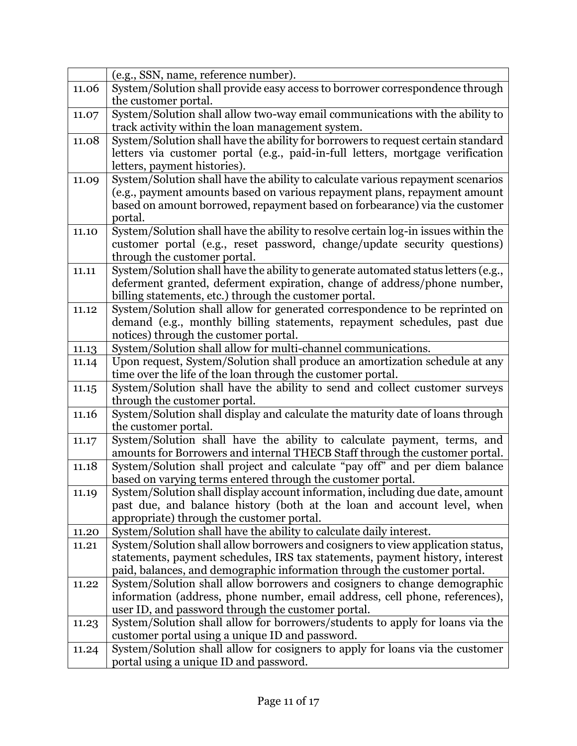|       | (e.g., SSN, name, reference number).                                                                                               |
|-------|------------------------------------------------------------------------------------------------------------------------------------|
| 11.06 | System/Solution shall provide easy access to borrower correspondence through                                                       |
|       | the customer portal.                                                                                                               |
| 11.07 | System/Solution shall allow two-way email communications with the ability to                                                       |
|       | track activity within the loan management system.                                                                                  |
| 11.08 | System/Solution shall have the ability for borrowers to request certain standard                                                   |
|       | letters via customer portal (e.g., paid-in-full letters, mortgage verification                                                     |
|       | letters, payment histories).                                                                                                       |
| 11.09 | System/Solution shall have the ability to calculate various repayment scenarios                                                    |
|       | (e.g., payment amounts based on various repayment plans, repayment amount                                                          |
|       | based on amount borrowed, repayment based on forbearance) via the customer                                                         |
|       | portal.                                                                                                                            |
| 11.10 | System/Solution shall have the ability to resolve certain log-in issues within the                                                 |
|       | customer portal (e.g., reset password, change/update security questions)                                                           |
|       | through the customer portal.                                                                                                       |
| 11.11 | System/Solution shall have the ability to generate automated status letters (e.g.,                                                 |
|       | deferment granted, deferment expiration, change of address/phone number,<br>billing statements, etc.) through the customer portal. |
| 11.12 | System/Solution shall allow for generated correspondence to be reprinted on                                                        |
|       | demand (e.g., monthly billing statements, repayment schedules, past due                                                            |
|       | notices) through the customer portal.                                                                                              |
| 11.13 | System/Solution shall allow for multi-channel communications.                                                                      |
| 11.14 | Upon request, System/Solution shall produce an amortization schedule at any                                                        |
|       | time over the life of the loan through the customer portal.                                                                        |
| 11.15 | System/Solution shall have the ability to send and collect customer surveys                                                        |
|       | through the customer portal.                                                                                                       |
| 11.16 | System/Solution shall display and calculate the maturity date of loans through                                                     |
|       | the customer portal.                                                                                                               |
| 11.17 | System/Solution shall have the ability to calculate payment, terms, and                                                            |
|       | amounts for Borrowers and internal THECB Staff through the customer portal.                                                        |
| 11.18 | System/Solution shall project and calculate "pay off" and per diem balance                                                         |
|       | based on varying terms entered through the customer portal.                                                                        |
| 11.19 | System/Solution shall display account information, including due date, amount                                                      |
|       | past due, and balance history (both at the loan and account level, when<br>appropriate) through the customer portal.               |
| 11.20 | System/Solution shall have the ability to calculate daily interest.                                                                |
| 11.21 | System/Solution shall allow borrowers and cosigners to view application status,                                                    |
|       | statements, payment schedules, IRS tax statements, payment history, interest                                                       |
|       | paid, balances, and demographic information through the customer portal.                                                           |
| 11.22 | System/Solution shall allow borrowers and cosigners to change demographic                                                          |
|       | information (address, phone number, email address, cell phone, references),                                                        |
|       | user ID, and password through the customer portal.                                                                                 |
| 11.23 | System/Solution shall allow for borrowers/students to apply for loans via the                                                      |
|       | customer portal using a unique ID and password.                                                                                    |
| 11.24 | System/Solution shall allow for cosigners to apply for loans via the customer                                                      |
|       | portal using a unique ID and password.                                                                                             |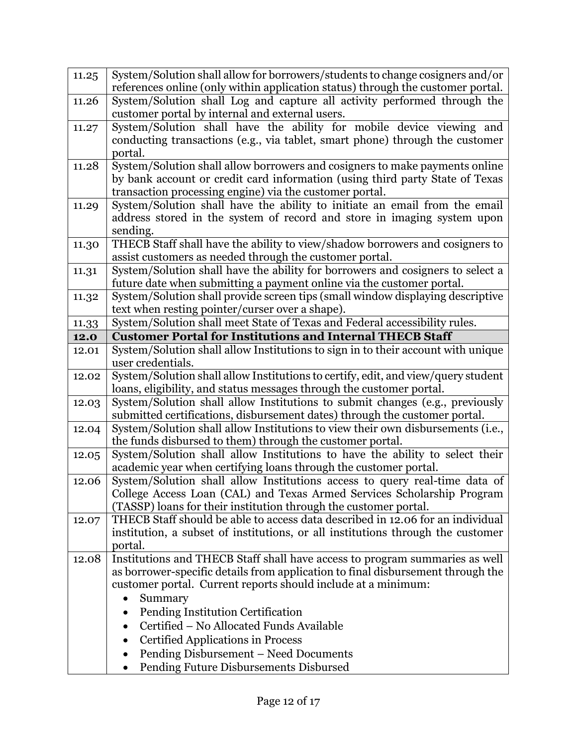| 11.25 | System/Solution shall allow for borrowers/students to change cosigners and/or                         |
|-------|-------------------------------------------------------------------------------------------------------|
|       | references online (only within application status) through the customer portal.                       |
| 11.26 | System/Solution shall Log and capture all activity performed through the                              |
|       | customer portal by internal and external users.                                                       |
| 11.27 | System/Solution shall have the ability for mobile device viewing and                                  |
|       | conducting transactions (e.g., via tablet, smart phone) through the customer                          |
|       | portal.                                                                                               |
| 11.28 | System/Solution shall allow borrowers and cosigners to make payments online                           |
|       | by bank account or credit card information (using third party State of Texas                          |
|       | transaction processing engine) via the customer portal.                                               |
| 11.29 | System/Solution shall have the ability to initiate an email from the email                            |
|       | address stored in the system of record and store in imaging system upon                               |
|       | sending.                                                                                              |
| 11.30 | THECB Staff shall have the ability to view/shadow borrowers and cosigners to                          |
|       | assist customers as needed through the customer portal.                                               |
| 11.31 | System/Solution shall have the ability for borrowers and cosigners to select a                        |
|       | future date when submitting a payment online via the customer portal.                                 |
| 11.32 | System/Solution shall provide screen tips (small window displaying descriptive                        |
|       | text when resting pointer/curser over a shape).                                                       |
| 11.33 | System/Solution shall meet State of Texas and Federal accessibility rules.                            |
| 12.0  | <b>Customer Portal for Institutions and Internal THECB Staff</b>                                      |
| 12.01 | System/Solution shall allow Institutions to sign in to their account with unique<br>user credentials. |
|       | System/Solution shall allow Institutions to certify, edit, and view/query student                     |
| 12.02 | loans, eligibility, and status messages through the customer portal.                                  |
| 12.03 | System/Solution shall allow Institutions to submit changes (e.g., previously                          |
|       | submitted certifications, disbursement dates) through the customer portal.                            |
| 12.04 | System/Solution shall allow Institutions to view their own disbursements (i.e.,                       |
|       | the funds disbursed to them) through the customer portal.                                             |
| 12.05 | System/Solution shall allow Institutions to have the ability to select their                          |
|       | academic year when certifying loans through the customer portal.                                      |
| 12.06 | System/Solution shall allow Institutions access to query real-time data of                            |
|       | College Access Loan (CAL) and Texas Armed Services Scholarship Program                                |
|       | (TASSP) loans for their institution through the customer portal.                                      |
| 12.07 | THECB Staff should be able to access data described in 12.06 for an individual                        |
|       | institution, a subset of institutions, or all institutions through the customer                       |
|       | portal.                                                                                               |
| 12.08 |                                                                                                       |
|       | Institutions and THECB Staff shall have access to program summaries as well                           |
|       | as borrower-specific details from application to final disbursement through the                       |
|       | customer portal. Current reports should include at a minimum:                                         |
|       | Summary                                                                                               |
|       | Pending Institution Certification                                                                     |
|       | Certified - No Allocated Funds Available                                                              |
|       | <b>Certified Applications in Process</b><br>$\bullet$                                                 |
|       | Pending Disbursement - Need Documents                                                                 |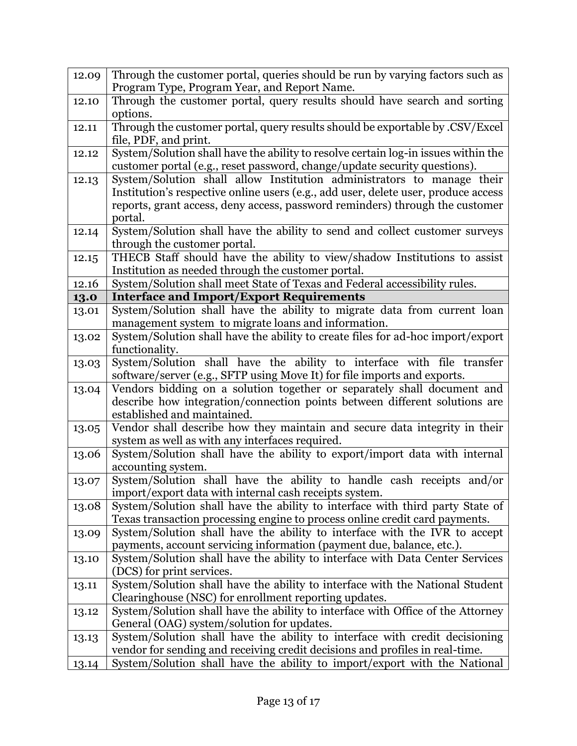| 12.09 | Through the customer portal, queries should be run by varying factors such as                                                   |
|-------|---------------------------------------------------------------------------------------------------------------------------------|
|       | Program Type, Program Year, and Report Name.                                                                                    |
| 12.10 | Through the customer portal, query results should have search and sorting                                                       |
|       | options.                                                                                                                        |
| 12.11 | Through the customer portal, query results should be exportable by .CSV/Excel                                                   |
|       | file, PDF, and print.                                                                                                           |
| 12.12 | System/Solution shall have the ability to resolve certain log-in issues within the                                              |
|       | customer portal (e.g., reset password, change/update security questions).                                                       |
| 12.13 | System/Solution shall allow Institution administrators to manage their                                                          |
|       | Institution's respective online users (e.g., add user, delete user, produce access                                              |
|       | reports, grant access, deny access, password reminders) through the customer                                                    |
|       | portal.                                                                                                                         |
| 12.14 | System/Solution shall have the ability to send and collect customer surveys<br>through the customer portal.                     |
| 12.15 | THECB Staff should have the ability to view/shadow Institutions to assist                                                       |
|       | Institution as needed through the customer portal.                                                                              |
| 12.16 | System/Solution shall meet State of Texas and Federal accessibility rules.                                                      |
| 13.0  | <b>Interface and Import/Export Requirements</b>                                                                                 |
| 13.01 | System/Solution shall have the ability to migrate data from current loan                                                        |
|       | management system to migrate loans and information.                                                                             |
| 13.02 | System/Solution shall have the ability to create files for ad-hoc import/export                                                 |
|       | functionality.                                                                                                                  |
| 13.03 | System/Solution shall have the ability to interface with file transfer                                                          |
|       | software/server (e.g., SFTP using Move It) for file imports and exports.                                                        |
| 13.04 | Vendors bidding on a solution together or separately shall document and                                                         |
|       | describe how integration/connection points between different solutions are                                                      |
|       | established and maintained.                                                                                                     |
| 13.05 | Vendor shall describe how they maintain and secure data integrity in their                                                      |
|       | system as well as with any interfaces required.                                                                                 |
| 13.06 | System/Solution shall have the ability to export/import data with internal                                                      |
|       | accounting system.                                                                                                              |
| 13.07 | System/Solution shall have the ability to handle cash receipts and/or<br>import/export data with internal cash receipts system. |
| 13.08 | System/Solution shall have the ability to interface with third party State of                                                   |
|       | Texas transaction processing engine to process online credit card payments.                                                     |
| 13.09 | System/Solution shall have the ability to interface with the IVR to accept                                                      |
|       | payments, account servicing information (payment due, balance, etc.).                                                           |
| 13.10 | System/Solution shall have the ability to interface with Data Center Services                                                   |
|       | (DCS) for print services.                                                                                                       |
| 13.11 | System/Solution shall have the ability to interface with the National Student                                                   |
|       | Clearinghouse (NSC) for enrollment reporting updates.                                                                           |
| 13.12 | System/Solution shall have the ability to interface with Office of the Attorney                                                 |
|       | General (OAG) system/solution for updates.                                                                                      |
| 13.13 | System/Solution shall have the ability to interface with credit decisioning                                                     |
|       | vendor for sending and receiving credit decisions and profiles in real-time.                                                    |
| 13.14 | System/Solution shall have the ability to import/export with the National                                                       |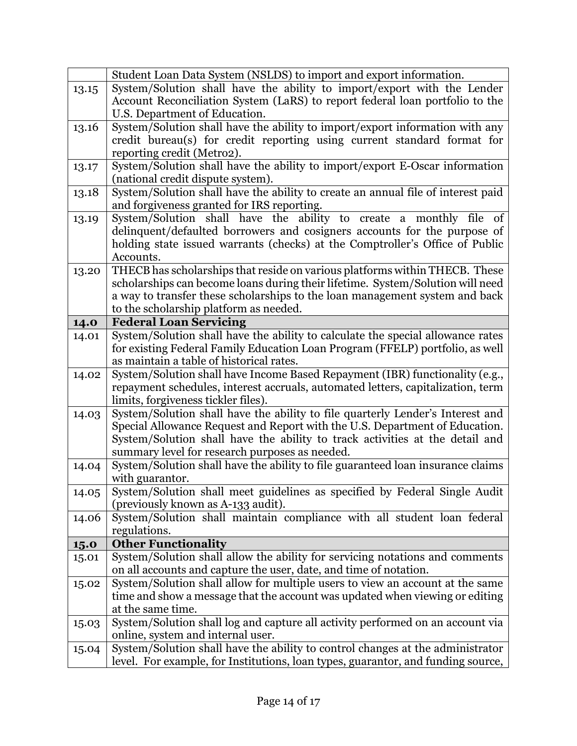|       | Student Loan Data System (NSLDS) to import and export information.                                               |
|-------|------------------------------------------------------------------------------------------------------------------|
| 13.15 | System/Solution shall have the ability to import/export with the Lender                                          |
|       | Account Reconciliation System (LaRS) to report federal loan portfolio to the                                     |
|       | U.S. Department of Education.                                                                                    |
| 13.16 | System/Solution shall have the ability to import/export information with any                                     |
|       | credit bureau(s) for credit reporting using current standard format for                                          |
|       | reporting credit (Metro2).                                                                                       |
| 13.17 | System/Solution shall have the ability to import/export E-Oscar information                                      |
|       | (national credit dispute system).                                                                                |
| 13.18 | System/Solution shall have the ability to create an annual file of interest paid                                 |
|       | and forgiveness granted for IRS reporting.                                                                       |
| 13.19 | System/Solution shall have the ability to create a monthly file of                                               |
|       | delinquent/defaulted borrowers and cosigners accounts for the purpose of                                         |
|       | holding state issued warrants (checks) at the Comptroller's Office of Public                                     |
|       | Accounts.                                                                                                        |
| 13.20 | THECB has scholarships that reside on various platforms within THECB. These                                      |
|       | scholarships can become loans during their lifetime. System/Solution will need                                   |
|       | a way to transfer these scholarships to the loan management system and back                                      |
|       | to the scholarship platform as needed.                                                                           |
| 14.0  | <b>Federal Loan Servicing</b><br>System/Solution shall have the ability to calculate the special allowance rates |
| 14.01 | for existing Federal Family Education Loan Program (FFELP) portfolio, as well                                    |
|       | as maintain a table of historical rates.                                                                         |
| 14.02 | System/Solution shall have Income Based Repayment (IBR) functionality (e.g.,                                     |
|       | repayment schedules, interest accruals, automated letters, capitalization, term                                  |
|       | limits, forgiveness tickler files).                                                                              |
| 14.03 | System/Solution shall have the ability to file quarterly Lender's Interest and                                   |
|       | Special Allowance Request and Report with the U.S. Department of Education.                                      |
|       | System/Solution shall have the ability to track activities at the detail and                                     |
|       | summary level for research purposes as needed.                                                                   |
| 14.04 | System/Solution shall have the ability to file guaranteed loan insurance claims                                  |
|       | with guarantor.                                                                                                  |
| 14.05 | System/Solution shall meet guidelines as specified by Federal Single Audit                                       |
|       | (previously known as A-133 audit).                                                                               |
| 14.06 | System/Solution shall maintain compliance with all student loan federal                                          |
|       | regulations.                                                                                                     |
| 15.0  | <b>Other Functionality</b>                                                                                       |
| 15.01 | System/Solution shall allow the ability for servicing notations and comments                                     |
|       | on all accounts and capture the user, date, and time of notation.                                                |
| 15.02 | System/Solution shall allow for multiple users to view an account at the same                                    |
|       | time and show a message that the account was updated when viewing or editing                                     |
|       | at the same time.                                                                                                |
| 15.03 | System/Solution shall log and capture all activity performed on an account via                                   |
|       | online, system and internal user.                                                                                |
| 15.04 | System/Solution shall have the ability to control changes at the administrator                                   |
|       | level. For example, for Institutions, loan types, guarantor, and funding source,                                 |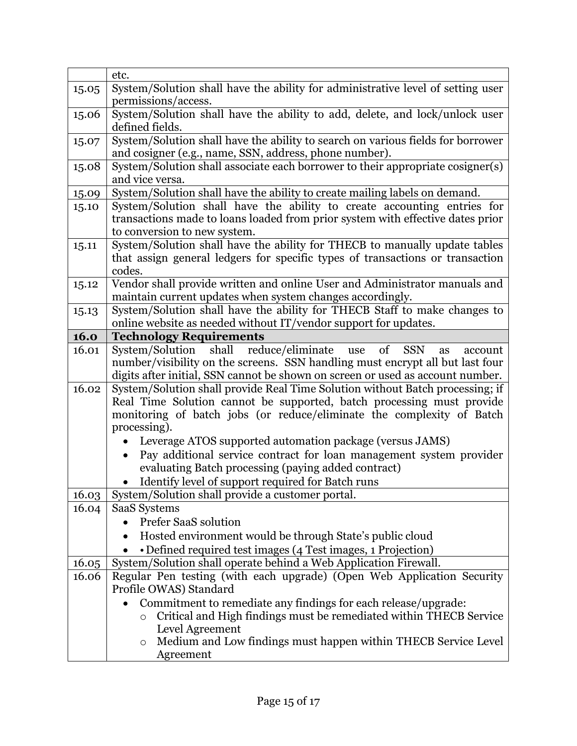|       | etc.                                                                                                                                   |
|-------|----------------------------------------------------------------------------------------------------------------------------------------|
| 15.05 | System/Solution shall have the ability for administrative level of setting user                                                        |
|       | permissions/access.                                                                                                                    |
| 15.06 | System/Solution shall have the ability to add, delete, and lock/unlock user                                                            |
|       | defined fields.                                                                                                                        |
| 15.07 | System/Solution shall have the ability to search on various fields for borrower                                                        |
|       | and cosigner (e.g., name, SSN, address, phone number).                                                                                 |
| 15.08 | System/Solution shall associate each borrower to their appropriate cosigner(s)                                                         |
|       | and vice versa.                                                                                                                        |
| 15.09 | System/Solution shall have the ability to create mailing labels on demand.                                                             |
| 15.10 | System/Solution shall have the ability to create accounting entries for                                                                |
|       | transactions made to loans loaded from prior system with effective dates prior                                                         |
|       | to conversion to new system.                                                                                                           |
| 15.11 | System/Solution shall have the ability for THECB to manually update tables                                                             |
|       | that assign general ledgers for specific types of transactions or transaction                                                          |
|       | codes.                                                                                                                                 |
| 15.12 | Vendor shall provide written and online User and Administrator manuals and                                                             |
|       | maintain current updates when system changes accordingly.<br>System/Solution shall have the ability for THECB Staff to make changes to |
| 15.13 | online website as needed without IT/vendor support for updates.                                                                        |
| 16.0  | <b>Technology Requirements</b>                                                                                                         |
| 16.01 | System/Solution shall reduce/eliminate use<br>of<br><b>SSN</b><br>as<br>account                                                        |
|       | number/visibility on the screens. SSN handling must encrypt all but last four                                                          |
|       | digits after initial, SSN cannot be shown on screen or used as account number.                                                         |
| 16.02 | System/Solution shall provide Real Time Solution without Batch processing; if                                                          |
|       | Real Time Solution cannot be supported, batch processing must provide                                                                  |
|       | monitoring of batch jobs (or reduce/eliminate the complexity of Batch                                                                  |
|       | processing).                                                                                                                           |
|       | Leverage ATOS supported automation package (versus JAMS)                                                                               |
|       | Pay additional service contract for loan management system provider                                                                    |
|       | evaluating Batch processing (paying added contract)                                                                                    |
|       | Identify level of support required for Batch runs                                                                                      |
| 16.03 | System/Solution shall provide a customer portal.                                                                                       |
| 16.04 | <b>SaaS Systems</b>                                                                                                                    |
|       | Prefer SaaS solution                                                                                                                   |
|       | Hosted environment would be through State's public cloud                                                                               |
|       | • Defined required test images (4 Test images, 1 Projection)                                                                           |
| 16.05 | System/Solution shall operate behind a Web Application Firewall.                                                                       |
| 16.06 | Regular Pen testing (with each upgrade) (Open Web Application Security                                                                 |
|       | Profile OWAS) Standard                                                                                                                 |
|       | Commitment to remediate any findings for each release/upgrade:                                                                         |
|       | Critical and High findings must be remediated within THECB Service<br>$\circ$                                                          |
|       | Level Agreement                                                                                                                        |
|       | Medium and Low findings must happen within THECB Service Level<br>$\circ$                                                              |
|       | Agreement                                                                                                                              |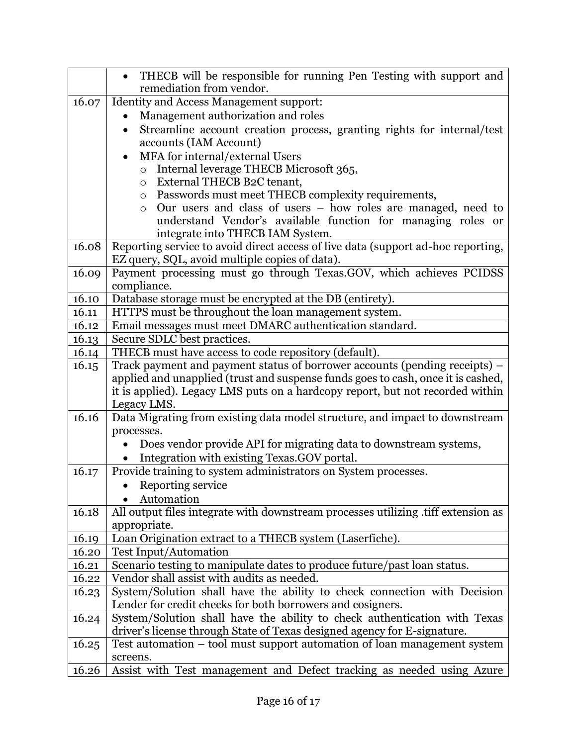|       | THECB will be responsible for running Pen Testing with support and                                                                 |
|-------|------------------------------------------------------------------------------------------------------------------------------------|
|       | remediation from vendor.                                                                                                           |
| 16.07 | Identity and Access Management support:                                                                                            |
|       | Management authorization and roles                                                                                                 |
|       | Streamline account creation process, granting rights for internal/test                                                             |
|       | accounts (IAM Account)                                                                                                             |
|       | MFA for internal/external Users                                                                                                    |
|       | Internal leverage THECB Microsoft 365,<br>$\circ$                                                                                  |
|       | External THECB B2C tenant,<br>$\circ$                                                                                              |
|       | Passwords must meet THECB complexity requirements,<br>$\circ$                                                                      |
|       | Our users and class of users - how roles are managed, need to<br>$\circ$                                                           |
|       | understand Vendor's available function for managing roles or                                                                       |
|       | integrate into THECB IAM System.                                                                                                   |
| 16.08 | Reporting service to avoid direct access of live data (support ad-hoc reporting,                                                   |
|       | EZ query, SQL, avoid multiple copies of data).                                                                                     |
| 16.09 | Payment processing must go through Texas.GOV, which achieves PCIDSS                                                                |
|       | compliance.                                                                                                                        |
| 16.10 | Database storage must be encrypted at the DB (entirety).                                                                           |
| 16.11 | HTTPS must be throughout the loan management system.                                                                               |
| 16.12 | Email messages must meet DMARC authentication standard.                                                                            |
| 16.13 | Secure SDLC best practices.                                                                                                        |
| 16.14 | THECB must have access to code repository (default).<br>Track payment and payment status of borrower accounts (pending receipts) – |
| 16.15 | applied and unapplied (trust and suspense funds goes to cash, once it is cashed,                                                   |
|       | it is applied). Legacy LMS puts on a hardcopy report, but not recorded within                                                      |
|       | Legacy LMS.                                                                                                                        |
| 16.16 | Data Migrating from existing data model structure, and impact to downstream                                                        |
|       | processes.                                                                                                                         |
|       | Does vendor provide API for migrating data to downstream systems,                                                                  |
|       | Integration with existing Texas.GOV portal.                                                                                        |
| 16.17 | Provide training to system administrators on System processes.                                                                     |
|       | Reporting service<br>$\bullet$                                                                                                     |
|       | • Automation                                                                                                                       |
| 16.18 | All output files integrate with downstream processes utilizing .tiff extension as                                                  |
|       | appropriate.                                                                                                                       |
| 16.19 | Loan Origination extract to a THECB system (Laserfiche).                                                                           |
| 16.20 | <b>Test Input/Automation</b>                                                                                                       |
| 16.21 | Scenario testing to manipulate dates to produce future/past loan status.                                                           |
| 16.22 | Vendor shall assist with audits as needed.                                                                                         |
| 16.23 | System/Solution shall have the ability to check connection with Decision                                                           |
|       | Lender for credit checks for both borrowers and cosigners.                                                                         |
| 16.24 | System/Solution shall have the ability to check authentication with Texas                                                          |
|       | driver's license through State of Texas designed agency for E-signature.                                                           |
| 16.25 | Test automation – tool must support automation of loan management system                                                           |
|       | screens.                                                                                                                           |
| 16.26 | Assist with Test management and Defect tracking as needed using Azure                                                              |